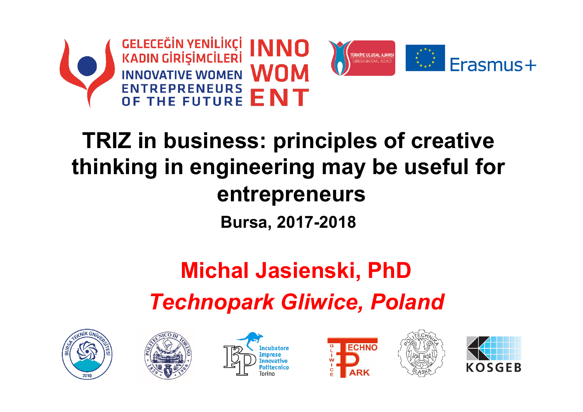



# **TRIZ in business: principles of creative thinking in engineering may be useful for entrepreneurs Bursa, 2017-2018**

# **Michal Jasienski, PhD**  *Technopark Gliwice, Poland*











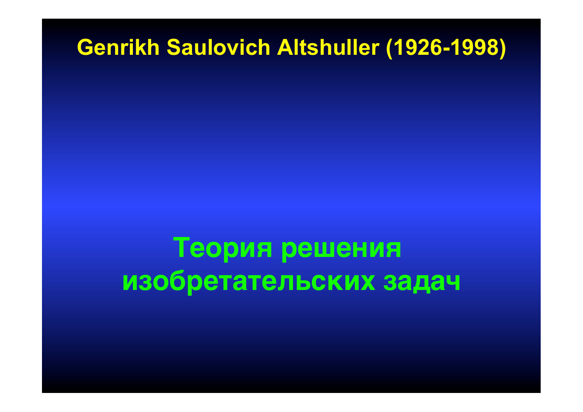# **Теория решения изобретательских задач**

**Genrikh Saulovich Altshuller (1926-1998)**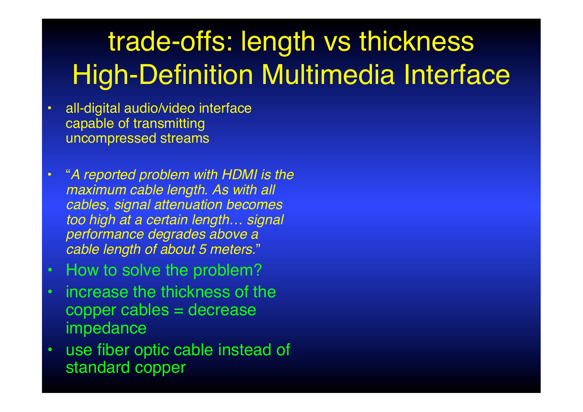# trade-offs: length vs thickness High-Definition Multimedia Interface

- all-digital audio/video interface capable of transmitting uncompressed streams
- "*A reported problem with HDMI is the maximum cable length. As with all cables, signal attenuation becomes too high at a certain length… signal performance degrades above a cable length of about 5 meters.*"
- How to solve the problem?
- increase the thickness of the copper cables = decrease impedance
- use fiber optic cable instead of standard copper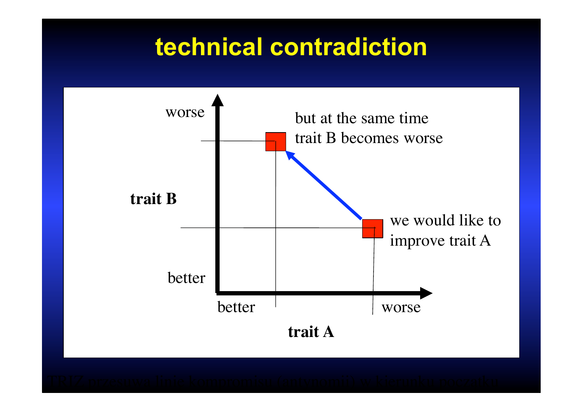# **technical contradiction**

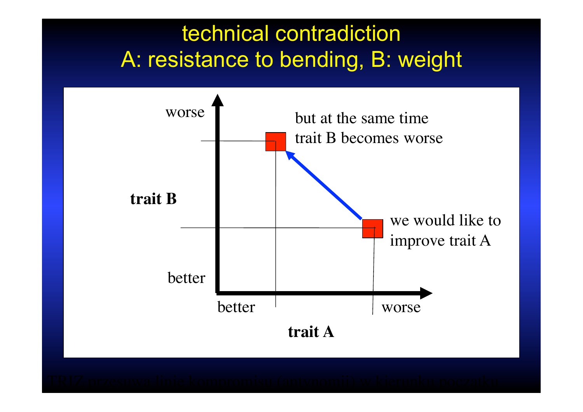## technical contradiction A: resistance to bending, B: weight

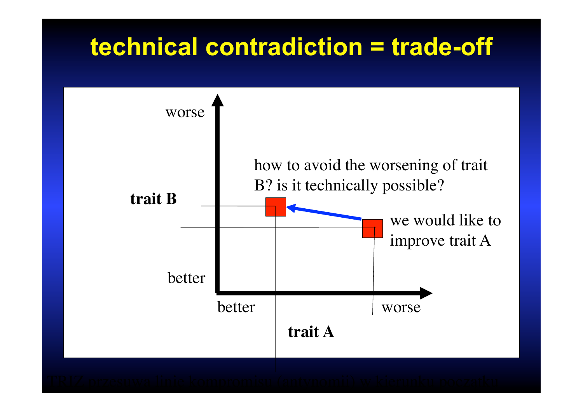# **technical contradiction = trade-off**

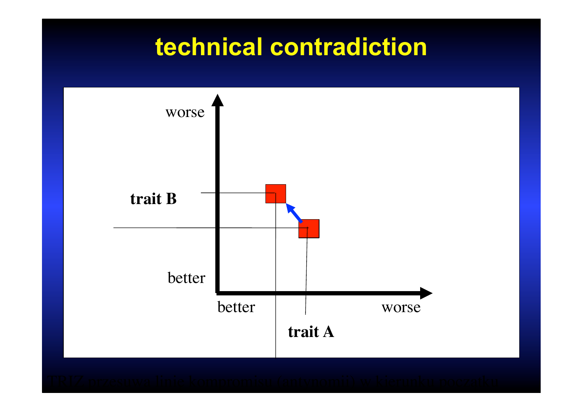# **technical contradiction**

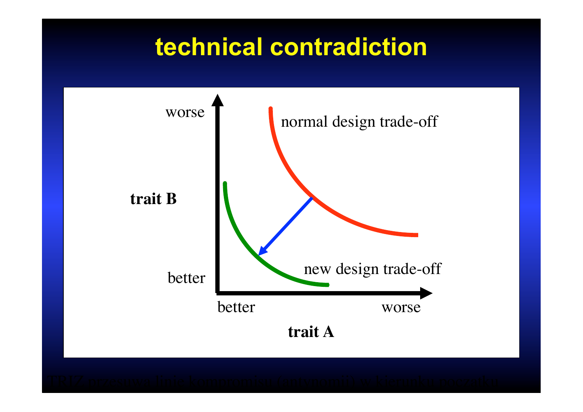# **technical contradiction**

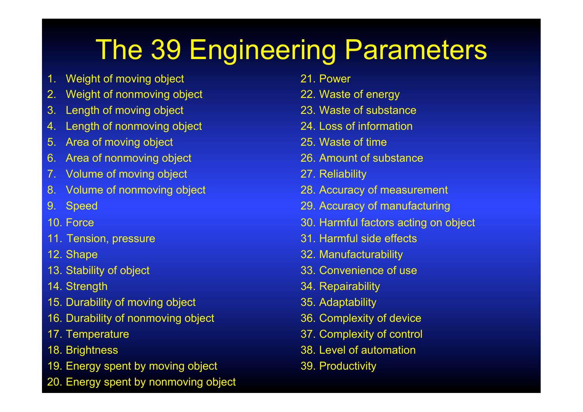# The 39 Engineering Parameters

- 1. Weight of moving object
- 2. Weight of nonmoving object
- 3. Length of moving object
- 4. Length of nonmoving object
- 5. Area of moving object
- 6. Area of nonmoving object
- 7. Volume of moving object
- 8. Volume of nonmoving object
- 9. Speed
- 10. Force
- 11. Tension, pressure
- 12. Shape
- 13. Stability of object
- 14. Strength
- 15. Durability of moving object
- 16. Durability of nonmoving object
- 17. Temperature
- 18. Brightness
- 19. Energy spent by moving object
- 20. Energy spent by nonmoving object
- 21. Power
- 22. Waste of energy
- 23. Waste of substance
- 24. Loss of information
- 25. Waste of time
- 26. Amount of substance
- 27. Reliability
- 28. Accuracy of measurement
- 29. Accuracy of manufacturing
- 30. Harmful factors acting on object
- 31. Harmful side effects
- 32. Manufacturability
- 33. Convenience of use
- 34. Repairability
- 35. Adaptability
- 36. Complexity of device
- 37. Complexity of control
- 38. Level of automation
- 39. Productivity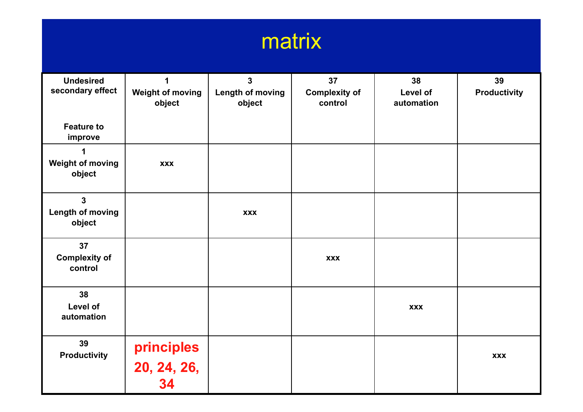

| <b>Undesired</b><br>secondary effect<br><b>Feature to</b> | 1<br><b>Weight of moving</b><br>object | 3<br>Length of moving<br>object | 37<br><b>Complexity of</b><br>control | 38<br>Level of<br>automation | 39<br><b>Productivity</b> |
|-----------------------------------------------------------|----------------------------------------|---------------------------------|---------------------------------------|------------------------------|---------------------------|
| improve                                                   |                                        |                                 |                                       |                              |                           |
| 1<br><b>Weight of moving</b><br>object                    | <b>XXX</b>                             |                                 |                                       |                              |                           |
| $\mathbf 3$<br>Length of moving<br>object                 |                                        | <b>XXX</b>                      |                                       |                              |                           |
| 37<br><b>Complexity of</b><br>control                     |                                        |                                 | <b>XXX</b>                            |                              |                           |
| 38<br>Level of<br>automation                              |                                        |                                 |                                       | <b>XXX</b>                   |                           |
| 39<br><b>Productivity</b>                                 | principles<br>20, 24, 26,<br>34        |                                 |                                       |                              | <b>XXX</b>                |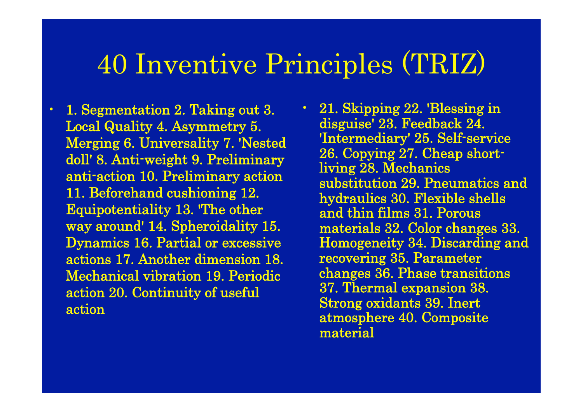# 40 Inventive Principles (TRIZ)

• 1. Segmentation 2. Taking out 3. Local Quality 4. Asymmetry 5. Merging 6. Universality 7. 'Nested doll' 8. Anti-weight 9. Preliminary anti-action 10. Preliminary action 11. Beforehand cushioning 12. Equipotentiality 13. 'The other way around' 14. Spheroidality 15. Dynamics 16. Partial or excessive actions 17. Another dimension 18. Mechanical vibration 19. Periodic action 20. Continuity of useful action

• 21. Skipping 22. 'Blessing in disguise' 23. Feedback 24. 'Intermediary' 25. Self-service 26. Copying 27. Cheap shortliving 28. Mechanics substitution 29. Pneumatics and hydraulics 30. Flexible shells and thin films 31. Porous materials 32. Color changes 33. Homogeneity 34. Discarding and recovering 35. Parameter changes 36. Phase transitions 37. Thermal expansion 38. Strong oxidants 39. Inert atmosphere 40. Composite material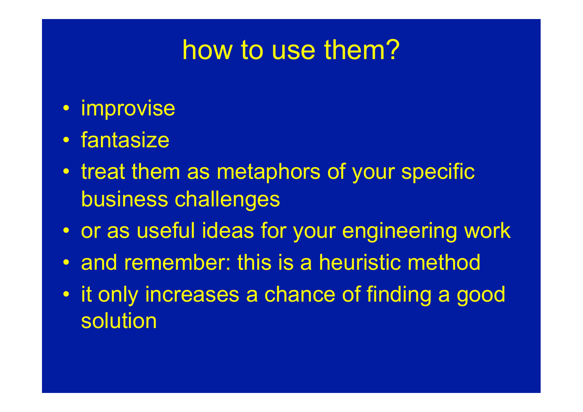# how to use them?

- improvise
- fantasize
- treat them as metaphors of your specific business challenges
- or as useful ideas for your engineering work
- and remember: this is a heuristic method
- it only increases a chance of finding a good solution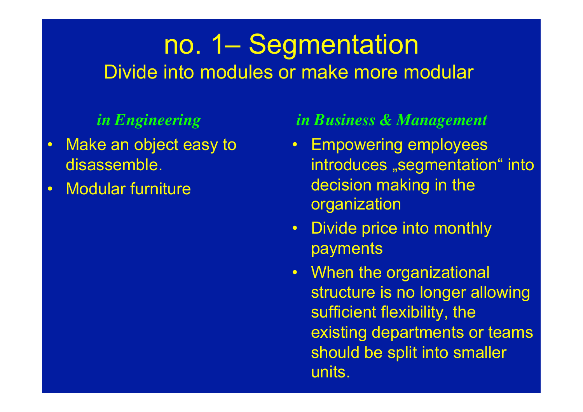# no. 1– Segmentation Divide into modules or make more modular

- Make an object easy to disassemble.
- Modular furniture

- Empowering employees introduces "segmentation" into decision making in the organization
- Divide price into monthly payments
- When the organizational structure is no longer allowing sufficient flexibility, the existing departments or teams should be split into smaller units.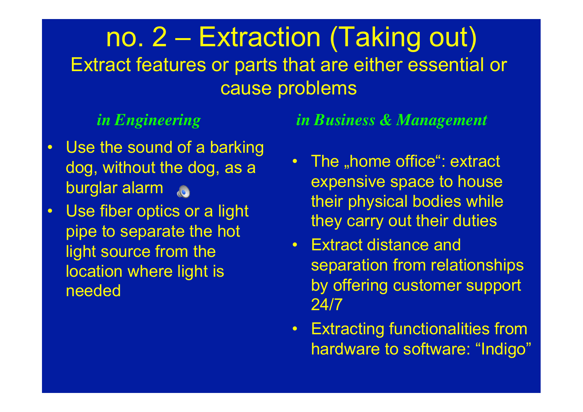# no. 2 – Extraction (Taking out) Extract features or parts that are either essential or cause problems

- Use the sound of a barking dog, without the dog, as a burglar alarm **6**
- Use fiber optics or a light pipe to separate the hot light source from the location where light is needed

- The "home office": extract expensive space to house their physical bodies while they carry out their duties
- Extract distance and separation from relationships by offering customer support 24/7
- Extracting functionalities from hardware to software: "Indigo"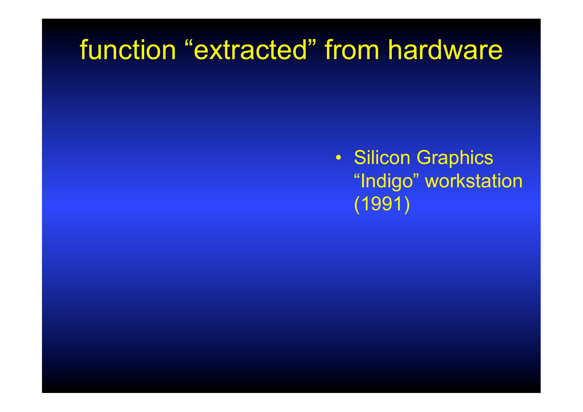# function "extracted" from hardware

• Silicon Graphics "Indigo" workstation (1991)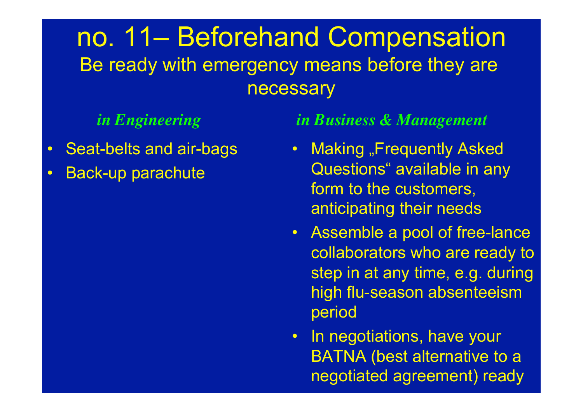## no. 11– Beforehand Compensation Be ready with emergency means before they are necessary

- Seat-belts and air-bags
- Back-up parachute

- **Making "Frequently Asked** Questions" available in any form to the customers, anticipating their needs
- Assemble a pool of free-lance collaborators who are ready to step in at any time, e.g. during high flu-season absenteeism period
- In negotiations, have your BATNA (best alternative to a negotiated agreement) ready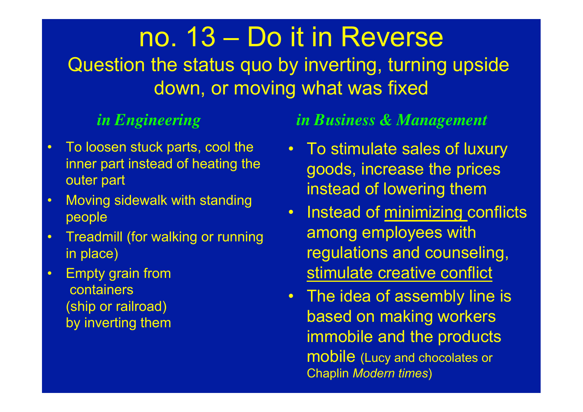# no. 13 – Do it in Reverse

Question the status quo by inverting, turning upside down, or moving what was fixed

- To loosen stuck parts, cool the inner part instead of heating the outer part
- Moving sidewalk with standing people
- Treadmill (for walking or running in place)
- Empty grain from containers (ship or railroad) by inverting them

- To stimulate sales of luxury goods, increase the prices instead of lowering them
- Instead of minimizing conflicts among employees with regulations and counseling, stimulate creative conflict
- The idea of assembly line is based on making workers immobile and the products mobile (Lucy and chocolates or Chaplin *Modern times*)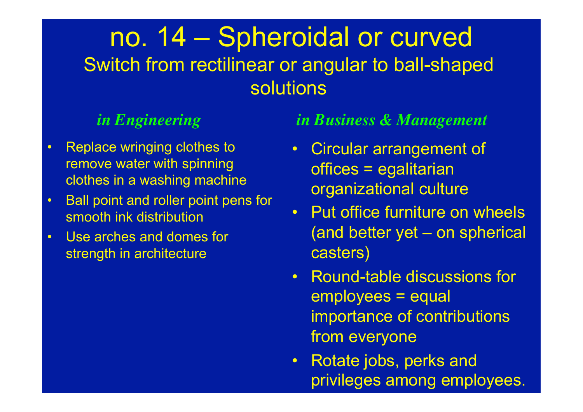# no. 14 – Spheroidal or curved Switch from rectilinear or angular to ball-shaped solutions

- Replace wringing clothes to remove water with spinning clothes in a washing machine
- Ball point and roller point pens for smooth ink distribution
- Use arches and domes for strength in architecture

- Circular arrangement of offices = egalitarian organizational culture
- Put office furniture on wheels (and better yet – on spherical casters)
- Round-table discussions for employees = equal importance of contributions from everyone
- Rotate jobs, perks and privileges among employees.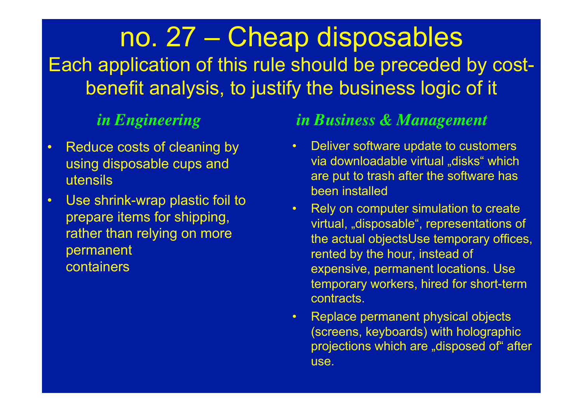# no. 27 – Cheap disposables Each application of this rule should be preceded by costbenefit analysis, to justify the business logic of it

- Reduce costs of cleaning by using disposable cups and utensils
- Use shrink-wrap plastic foil to prepare items for shipping, rather than relying on more permanent containers

- Deliver software update to customers via downloadable virtual "disks" which are put to trash after the software has been installed
- Rely on computer simulation to create virtual, "disposable", representations of the actual objectsUse temporary offices, rented by the hour, instead of expensive, permanent locations. Use temporary workers, hired for short-term contracts.
- Replace permanent physical objects (screens, keyboards) with holographic projections which are "disposed of" after use.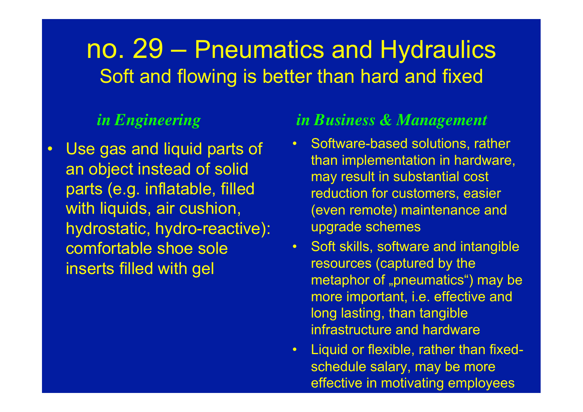## no. 29 – Pneumatics and Hydraulics Soft and flowing is better than hard and fixed

• Use gas and liquid parts of an object instead of solid parts (e.g. inflatable, filled with liquids, air cushion, hydrostatic, hydro-reactive): comfortable shoe sole inserts filled with gel

- Software-based solutions, rather than implementation in hardware, may result in substantial cost reduction for customers, easier (even remote) maintenance and upgrade schemes
- Soft skills, software and intangible resources (captured by the metaphor of "pneumatics") may be more important, i.e. effective and long lasting, than tangible infrastructure and hardware
- Liquid or flexible, rather than fixedschedule salary, may be more effective in motivating employees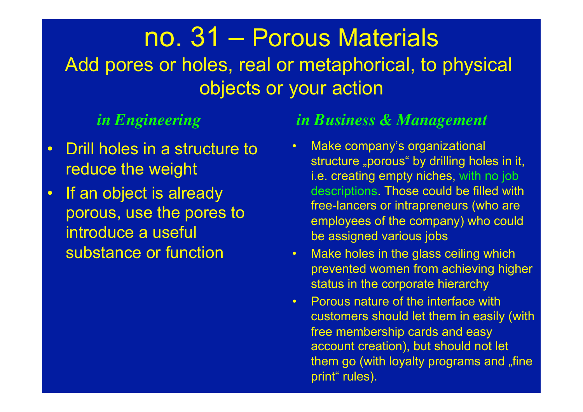# no. 31 – Porous Materials

Add pores or holes, real or metaphorical, to physical objects or your action

- Drill holes in a structure to reduce the weight
- If an object is already porous, use the pores to introduce a useful substance or function

- Make company's organizational structure "porous" by drilling holes in it, i.e. creating empty niches, with no job descriptions. Those could be filled with free-lancers or intrapreneurs (who are employees of the company) who could be assigned various jobs
- Make holes in the glass ceiling which prevented women from achieving higher status in the corporate hierarchy
- Porous nature of the interface with customers should let them in easily (with free membership cards and easy account creation), but should not let them go (with loyalty programs and "fine print" rules).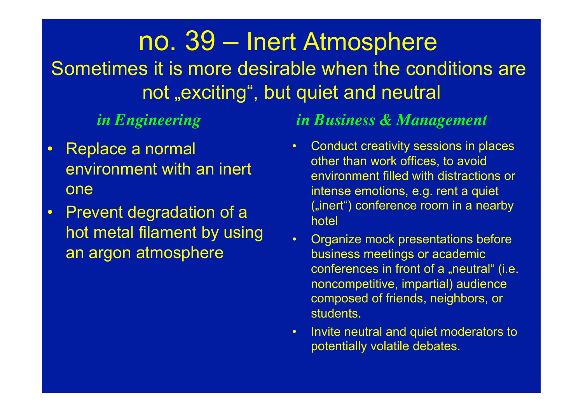## no. 39 – Inert Atmosphere Sometimes it is more desirable when the conditions are not "exciting", but quiet and neutral

- Replace a normal environment with an inert one
- Prevent degradation of a hot metal filament by using an argon atmosphere

- Conduct creativity sessions in places other than work offices, to avoid environment filled with distractions or intense emotions, e.g. rent a quiet ("inert") conference room in a nearby hotel
- Organize mock presentations before business meetings or academic conferences in front of a "neutral" (i.e. noncompetitive, impartial) audience composed of friends, neighbors, or students.
- Invite neutral and quiet moderators to potentially volatile debates.